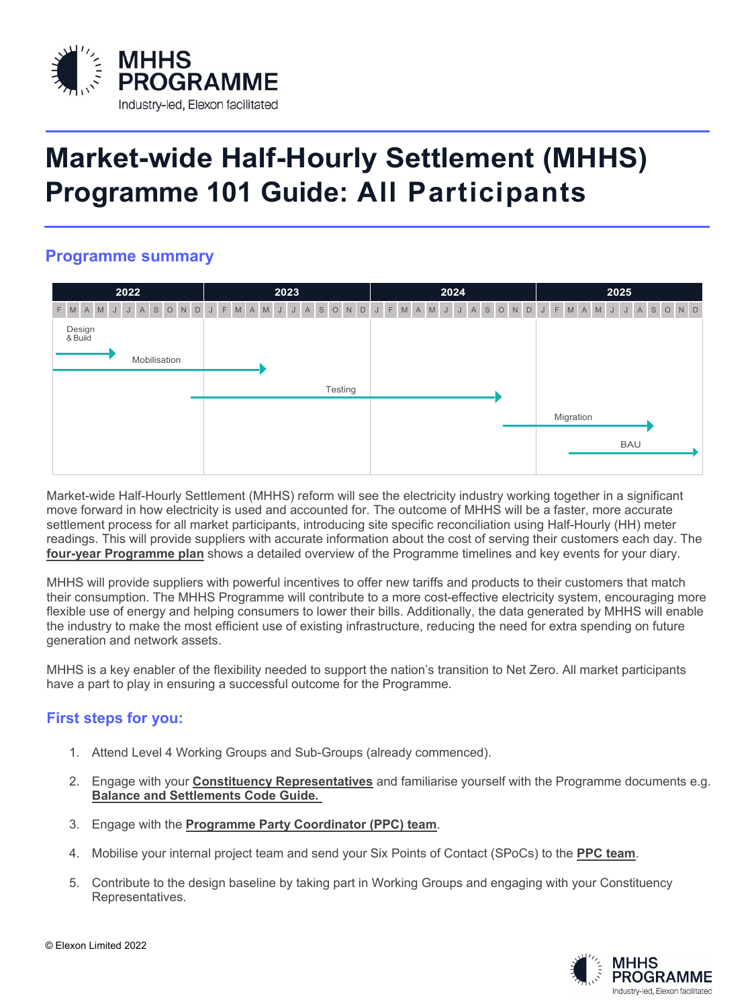

# **Market-wide Half-Hourly Settlement (MHHS) Programme 101 Guide: All Participants**

## **Programme summary**

| 2022                           | 2023                     | 2024          | 2025                              |
|--------------------------------|--------------------------|---------------|-----------------------------------|
| J A S O N D J<br>AMJ<br>M<br>F | J A S O N D<br>F M A M J | J F M A M J J | A S O N D J F M A M J J A S O N D |
| Design<br>& Build              |                          |               |                                   |
| Mobilisation                   |                          |               |                                   |
|                                | Testing                  |               |                                   |
|                                |                          |               | Migration                         |
|                                |                          |               | <b>BAU</b>                        |
|                                |                          |               |                                   |

Market-wide Half-Hourly Settlement (MHHS) reform will see the electricity industry working together in a significant move forward in how electricity is used and accounted for. The outcome of MHHS will be a faster, more accurate settlement process for all market participants, introducing site specific reconciliation using Half-Hourly (HH) meter readings. This will provide suppliers with accurate information about the cost of serving their customers each day. The **[four-year Programme plan](https://mhhsprogramme-production-cdn.s3.eu-west-2.amazonaws.com/wp-content/uploads/2021/10/06142420/mhhs_transition_timetable_final_version_for_publication_20.04.21-plan.pdf)** shows a detailed overview of the Programme timelines and key events for your diary.

MHHS will provide suppliers with powerful incentives to offer new tariffs and products to their customers that match their consumption. The MHHS Programme will contribute to a more cost-effective electricity system, encouraging more flexible use of energy and helping consumers to lower their bills. Additionally, the data generated by MHHS will enable the industry to make the most efficient use of existing infrastructure, reducing the need for extra spending on future generation and network assets.

MHHS is a key enabler of the flexibility needed to support the nation's transition to Net Zero. All market participants have a part to play in ensuring a successful outcome for the Programme.

### **First steps for you:**

- 1. Attend Level 4 Working Groups and Sub-Groups (already commenced).
- 2. Engage with your **[Constituency Representatives](https://mhhsprogramme-production-cdn.s3.eu-west-2.amazonaws.com/wp-content/uploads/2022/01/19144501/MHHS-DEL090-Nomination-Constituency-Reps_website.pdf)** and familiarise yourself with the Programme documents e.g. **[Balance and Settlements Code Guide.](https://www.elexon.co.uk/about/bsc-explained/)**
- 3. Engage with the **[Programme Party Coordinator \(PPC\) team](https://calendly.com/ppc_mhhs/30min?month=2022-02)**.
- 4. Mobilise your internal project team and send your Six Points of Contact (SPoCs) to the **[PPC team](mailto:PPC@mhhsprogramme.co.uk)**.
- 5. Contribute to the design baseline by taking part in Working Groups and engaging with your Constituency Representatives.